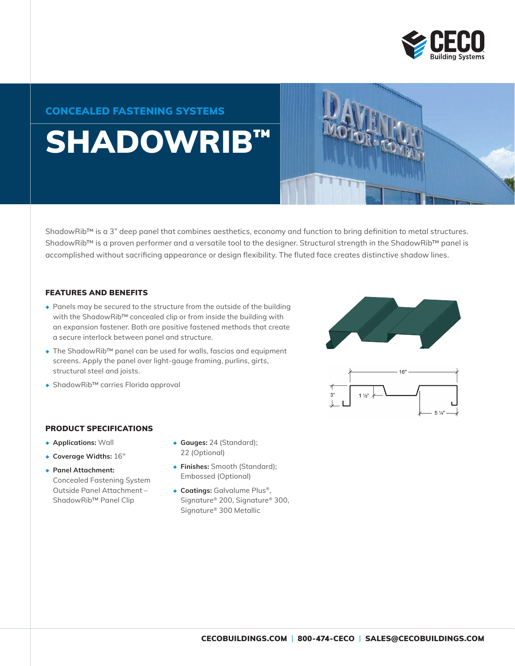

### CONCEALED FASTENING SYSTEMS

# SHADOWRIB™

ShadowRib™ is a 3" deep panel that combines aesthetics, economy and function to bring definition to metal structures. ShadowRib™ is a proven performer and a versatile tool to the designer. Structural strength in the ShadowRib™ panel is accomplished without sacrificing appearance or design flexibility. The fluted face creates distinctive shadow lines.

#### FEATURES AND BENEFITS

- ◆ Panels may be secured to the structure from the outside of the building with the ShadowRib™ concealed clip or from inside the building with an expansion fastener. Both are positive fastened methods that create a secure interlock between panel and structure.
- ◆ The ShadowRib<sup>™</sup> panel can be used for walls, fascias and equipment screens. Apply the panel over light-gauge framing, purlins, girts, structural steel and joists.
- ◆ ShadowRib™ carries Florida approval

#### PRODUCT SPECIFICATIONS

- ◆ **Applications:** Wall
- ◆ **Coverage Widths:** 16"
- ◆ **Panel Attachment:** Concealed Fastening System Outside Panel Attachment – ShadowRib™ Panel Clip
- ◆ **Gauges:** 24 (Standard); 22 (Optional)
- ◆ **Finishes:** Smooth (Standard); Embossed (Optional)
- ◆ **Coatings:** Galvalume Plus®, Signature® 200, Signature® 300, Signature® 300 Metallic